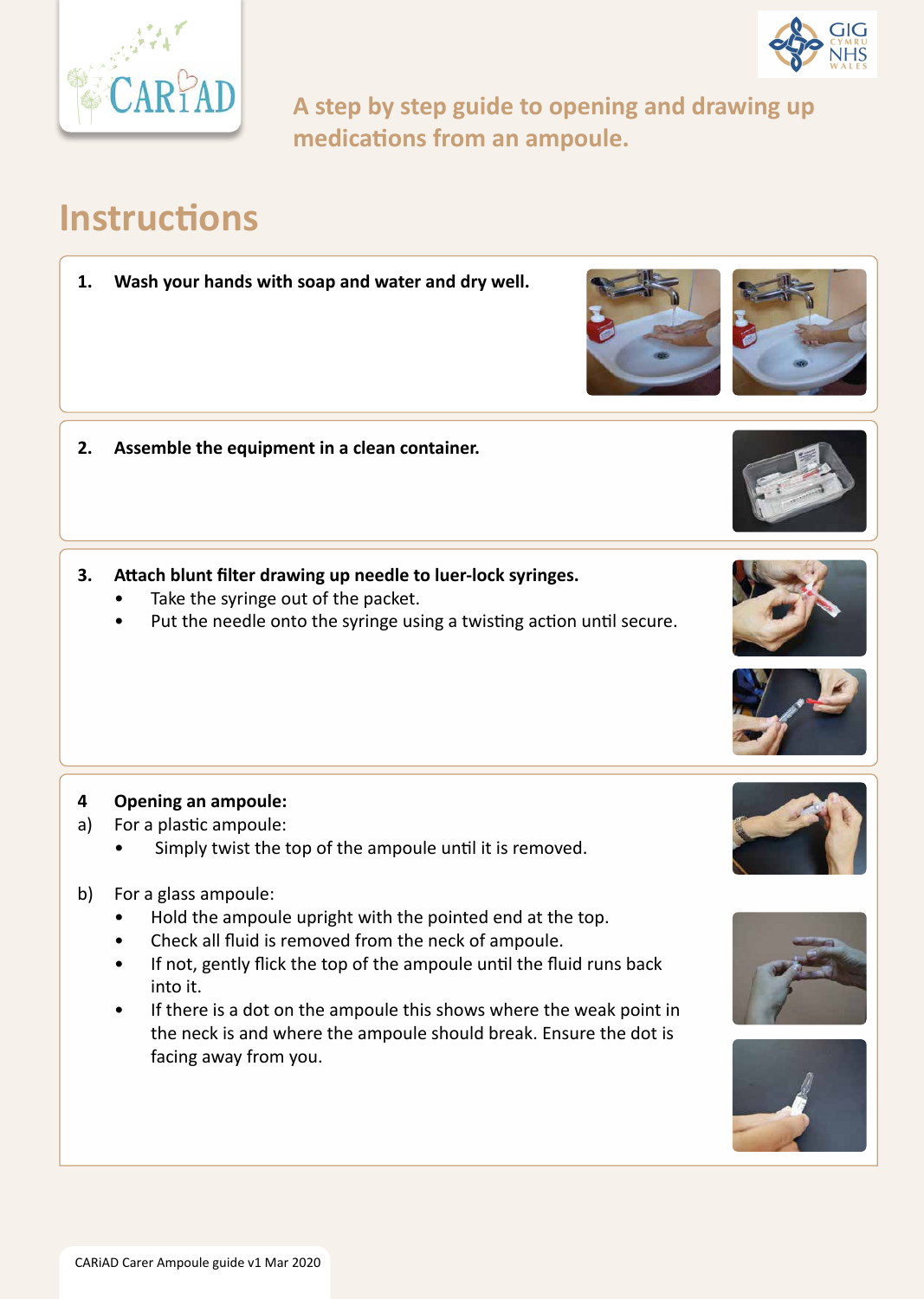CARiAD Carer Ampoule guide v1 Mar 2020





**A step by step guide to opening and drawing up medications from an ampoule.**

- **2. Assemble the equipment in a clean container.**
- **3. Attach blunt filter drawing up needle to luer-lock syringes.**
	- Take the syringe out of the packet.
	- Put the needle onto the syringe using a twisting action until secure.

# **Instructions**

**1. Wash your hands with soap and water and dry well.**

### **4 Opening an ampoule:**

- a) For a plastic ampoule:
	- Simply twist the top of the ampoule until it is removed.
- b) For a glass ampoule:
	- Hold the ampoule upright with the pointed end at the top.









- Check all fluid is removed from the neck of ampoule.
- If not, gently flick the top of the ampoule until the fluid runs back into it.
- If there is a dot on the ampoule this shows where the weak point in the neck is and where the ampoule should break. Ensure the dot is facing away from you.